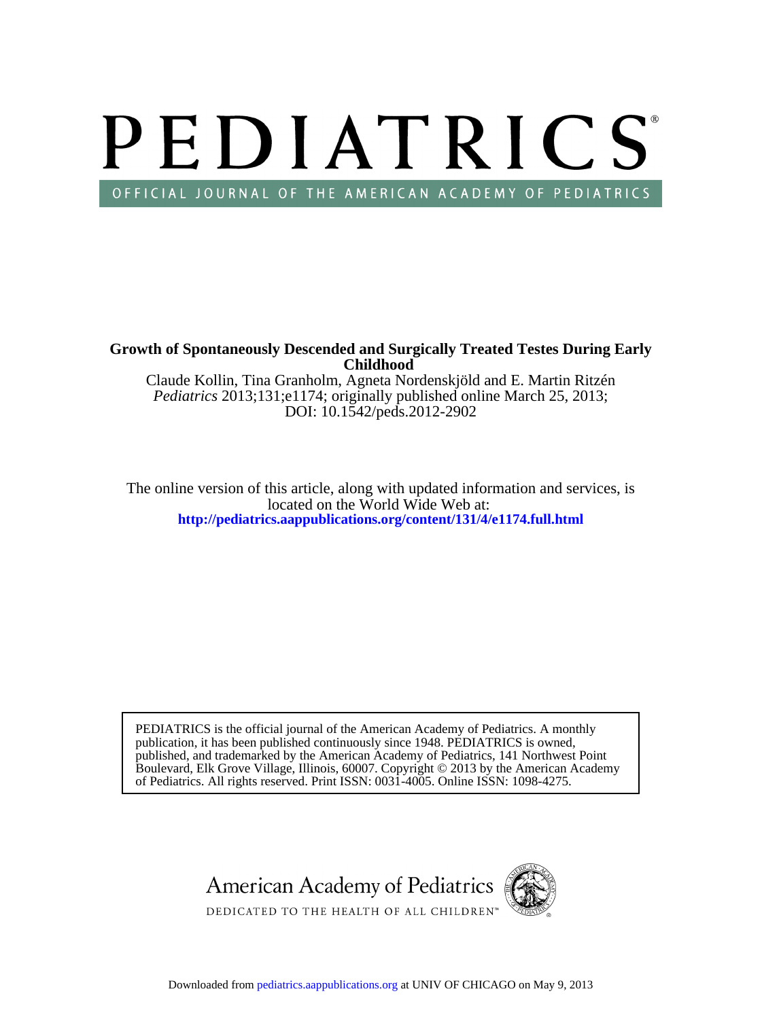# PEDIATRICS OFFICIAL JOURNAL OF THE AMERICAN ACADEMY OF PEDIATRICS

**Childhood Growth of Spontaneously Descended and Surgically Treated Testes During Early**

DOI: 10.1542/peds.2012-2902 *Pediatrics* 2013;131;e1174; originally published online March 25, 2013; Claude Kollin, Tina Granholm, Agneta Nordenskjöld and E. Martin Ritzén

**<http://pediatrics.aappublications.org/content/131/4/e1174.full.html>** located on the World Wide Web at: The online version of this article, along with updated information and services, is

of Pediatrics. All rights reserved. Print ISSN: 0031-4005. Online ISSN: 1098-4275. Boulevard, Elk Grove Village, Illinois, 60007. Copyright © 2013 by the American Academy published, and trademarked by the American Academy of Pediatrics, 141 Northwest Point publication, it has been published continuously since 1948. PEDIATRICS is owned, PEDIATRICS is the official journal of the American Academy of Pediatrics. A monthly

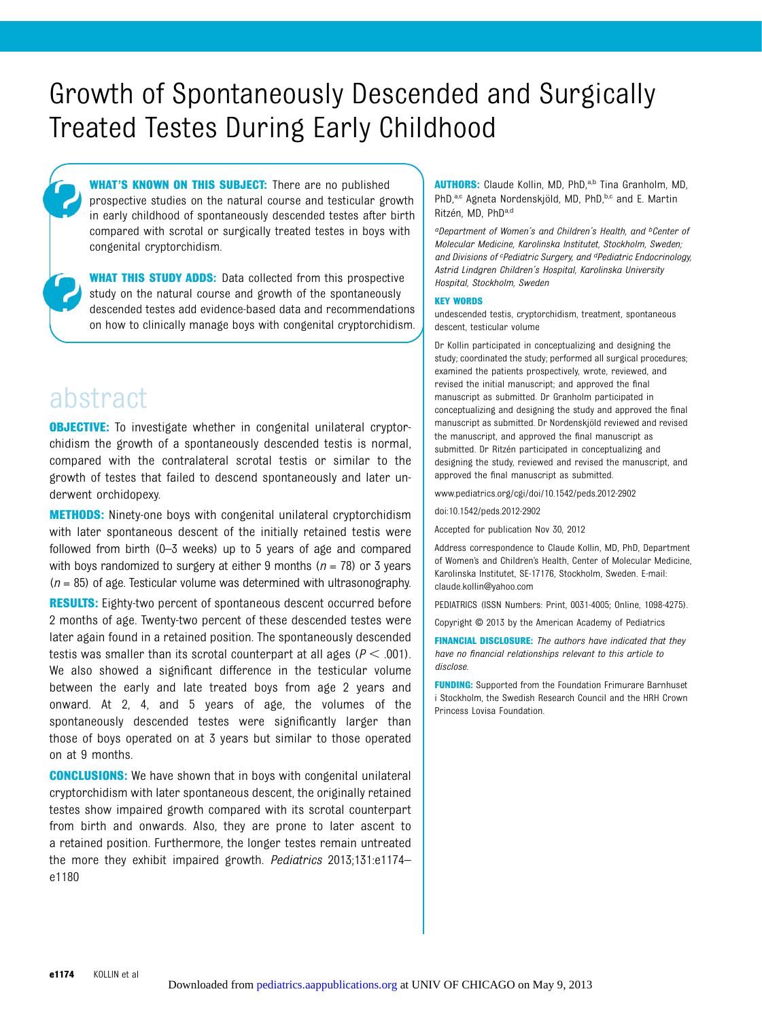## Growth of Spontaneously Descended and Surgically Treated Testes During Early Childhood

WHAT'S KNOWN ON THIS SUBJECT: There are no published prospective studies on the natural course and testicular growth in early childhood of spontaneously descended testes after birth compared with scrotal or surgically treated testes in boys with congenital cryptorchidism.

**WHAT THIS STUDY ADDS:** Data collected from this prospective study on the natural course and growth of the spontaneously descended testes add evidence-based data and recommendations on how to clinically manage boys with congenital cryptorchidism.

### abstract

**OBJECTIVE:** To investigate whether in congenital unilateral cryptorchidism the growth of a spontaneously descended testis is normal, compared with the contralateral scrotal testis or similar to the growth of testes that failed to descend spontaneously and later underwent orchidopexy.

METHODS: Ninety-one boys with congenital unilateral cryptorchidism with later spontaneous descent of the initially retained testis were followed from birth (0–3 weeks) up to 5 years of age and compared with boys randomized to surgery at either 9 months ( $n = 78$ ) or 3 years  $(n = 85)$  of age. Testicular volume was determined with ultrasonography.

**RESULTS:** Eighty-two percent of spontaneous descent occurred before 2 months of age. Twenty-two percent of these descended testes were later again found in a retained position. The spontaneously descended testis was smaller than its scrotal counterpart at all ages ( $P < .001$ ). We also showed a significant difference in the testicular volume between the early and late treated boys from age 2 years and onward. At 2, 4, and 5 years of age, the volumes of the spontaneously descended testes were significantly larger than those of boys operated on at 3 years but similar to those operated on at 9 months.

CONCLUSIONS: We have shown that in boys with congenital unilateral cryptorchidism with later spontaneous descent, the originally retained testes show impaired growth compared with its scrotal counterpart from birth and onwards. Also, they are prone to later ascent to a retained position. Furthermore, the longer testes remain untreated the more they exhibit impaired growth. Pediatrics 2013;131:e1174– e1180

AUTHORS: Claude Kollin, MD, PhD,<sup>a,b</sup> Tina Granholm, MD, PhD,<sup>a,c</sup> Agneta Nordenskjöld, MD, PhD,<sup>b,c</sup> and E. Martin Ritzén, MD, PhDa,d

<sup>a</sup>Department of Women's and Children's Health, and <sup>b</sup>Center of Molecular Medicine, Karolinska Institutet, Stockholm, Sweden; and Divisions of <sup>c</sup>Pediatric Surgery, and <sup>d</sup>Pediatric Endocrinology, Astrid Lindgren Children´s Hospital, Karolinska University Hospital, Stockholm, Sweden

#### KEY WORDS

undescended testis, cryptorchidism, treatment, spontaneous descent, testicular volume

Dr Kollin participated in conceptualizing and designing the study; coordinated the study; performed all surgical procedures; examined the patients prospectively, wrote, reviewed, and revised the initial manuscript; and approved the final manuscript as submitted. Dr Granholm participated in conceptualizing and designing the study and approved the final manuscript as submitted. Dr Nordenskjöld reviewed and revised the manuscript, and approved the final manuscript as submitted. Dr Ritzén participated in conceptualizing and designing the study, reviewed and revised the manuscript, and approved the final manuscript as submitted.

www.pediatrics.org/cgi/doi/10.1542/peds.2012-2902

doi:10.1542/peds.2012-2902

Accepted for publication Nov 30, 2012

Address correspondence to Claude Kollin, MD, PhD, Department of Women's and Children's Health, Center of Molecular Medicine, Karolinska Institutet, SE-17176, Stockholm, Sweden. E-mail: [claude.kollin@yahoo.com](mailto:claude.kollin@yahoo.com)

PEDIATRICS (ISSN Numbers: Print, 0031-4005; Online, 1098-4275).

Copyright © 2013 by the American Academy of Pediatrics

FINANCIAL DISCLOSURE: The authors have indicated that they have no financial relationships relevant to this article to disclose.

**FUNDING:** Supported from the Foundation Frimurare Barnhuset i Stockholm, the Swedish Research Council and the HRH Crown Princess Lovisa Foundation.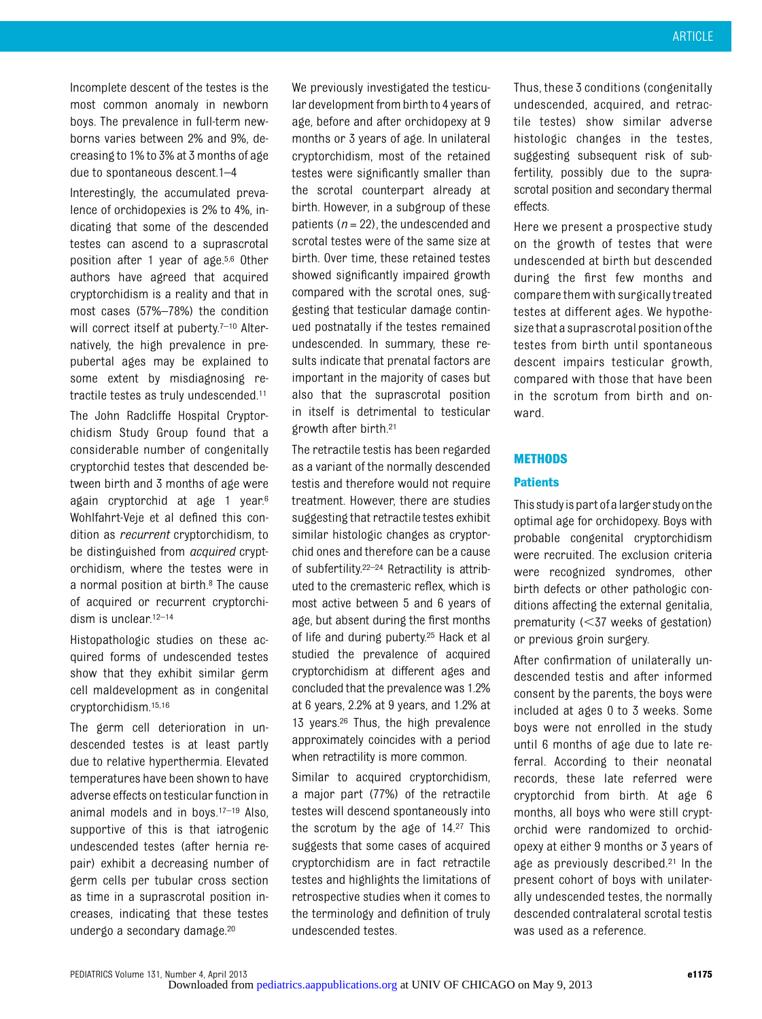Incomplete descent of the testes is the most common anomaly in newborn boys. The prevalence in full-term newborns varies between 2% and 9%, decreasing to 1% to 3% at 3 months of age due to spontaneous descent.1–4

Interestingly, the accumulated prevalence of orchidopexies is 2% to 4%, indicating that some of the descended testes can ascend to a suprascrotal position after 1 year of age.5,6 Other authors have agreed that acquired cryptorchidism is a reality and that in most cases (57%–78%) the condition will correct itself at puberty.<sup>7-10</sup> Alternatively, the high prevalence in prepubertal ages may be explained to some extent by misdiagnosing retractile testes as truly undescended.11 The John Radcliffe Hospital Cryptorchidism Study Group found that a considerable number of congenitally cryptorchid testes that descended between birth and 3 months of age were again cryptorchid at age 1 year.6 Wohlfahrt-Veje et al defined this condition as recurrent cryptorchidism, to be distinguished from *acquired* cryptorchidism, where the testes were in a normal position at birth.<sup>8</sup> The cause of acquired or recurrent cryptorchidism is unclear.<sup>12-14</sup>

Histopathologic studies on these acquired forms of undescended testes show that they exhibit similar germ cell maldevelopment as in congenital cryptorchidism.15,16

The germ cell deterioration in undescended testes is at least partly due to relative hyperthermia. Elevated temperatures have been shown to have adverse effects on testicular function in animal models and in boys.17–<sup>19</sup> Also, supportive of this is that iatrogenic undescended testes (after hernia repair) exhibit a decreasing number of germ cells per tubular cross section as time in a suprascrotal position increases, indicating that these testes undergo a secondary damage.20

We previously investigated the testicular development from birth to 4 years of age, before and after orchidopexy at 9 months or 3 years of age. In unilateral cryptorchidism, most of the retained testes were significantly smaller than the scrotal counterpart already at birth. However, in a subgroup of these patients ( $n = 22$ ), the undescended and scrotal testes were of the same size at birth. Over time, these retained testes showed significantly impaired growth compared with the scrotal ones, suggesting that testicular damage continued postnatally if the testes remained undescended. In summary, these results indicate that prenatal factors are important in the majority of cases but also that the suprascrotal position in itself is detrimental to testicular growth after birth.21

The retractile testis has been regarded as a variant of the normally descended testis and therefore would not require treatment. However, there are studies suggesting that retractile testes exhibit similar histologic changes as cryptorchid ones and therefore can be a cause of subfertility.22–<sup>24</sup> Retractility is attributed to the cremasteric reflex, which is most active between 5 and 6 years of age, but absent during the first months of life and during puberty.25 Hack et al studied the prevalence of acquired cryptorchidism at different ages and concluded that the prevalence was 1.2% at 6 years, 2.2% at 9 years, and 1.2% at 13 years.26 Thus, the high prevalence approximately coincides with a period when retractility is more common.

Similar to acquired cryptorchidism, a major part (77%) of the retractile testes will descend spontaneously into the scrotum by the age of 14.27 This suggests that some cases of acquired cryptorchidism are in fact retractile testes and highlights the limitations of retrospective studies when it comes to the terminology and definition of truly undescended testes.

Thus, these 3 conditions (congenitally undescended, acquired, and retractile testes) show similar adverse histologic changes in the testes, suggesting subsequent risk of subfertility, possibly due to the suprascrotal position and secondary thermal effects.

Here we present a prospective study on the growth of testes that were undescended at birth but descended during the first few months and compare them with surgically treated testes at different ages. We hypothesizethat a suprascrotal position ofthe testes from birth until spontaneous descent impairs testicular growth, compared with those that have been in the scrotum from birth and onward.

#### **METHODS**

#### **Patients**

This studyispart ofa larger studyonthe optimal age for orchidopexy. Boys with probable congenital cryptorchidism were recruited. The exclusion criteria were recognized syndromes, other birth defects or other pathologic conditions affecting the external genitalia, prematurity  $(<$ 37 weeks of gestation) or previous groin surgery.

After confirmation of unilaterally undescended testis and after informed consent by the parents, the boys were included at ages 0 to 3 weeks. Some boys were not enrolled in the study until 6 months of age due to late referral. According to their neonatal records, these late referred were cryptorchid from birth. At age 6 months, all boys who were still cryptorchid were randomized to orchidopexy at either 9 months or 3 years of age as previously described.21 In the present cohort of boys with unilaterally undescended testes, the normally descended contralateral scrotal testis was used as a reference.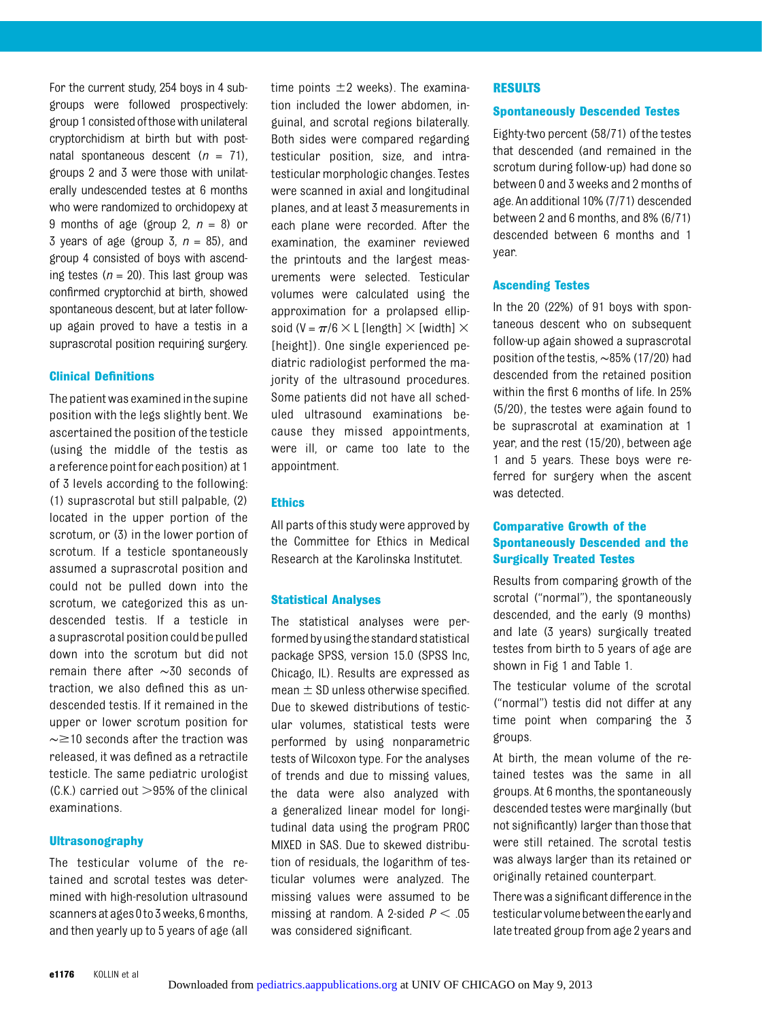For the current study, 254 boys in 4 subgroups were followed prospectively: group 1 consisted ofthosewith unilateral cryptorchidism at birth but with postnatal spontaneous descent  $(n = 71)$ , groups 2 and 3 were those with unilaterally undescended testes at 6 months who were randomized to orchidopexy at 9 months of age (group 2,  $n = 8$ ) or 3 years of age (group 3,  $n = 85$ ), and group 4 consisted of boys with ascending testes  $(n = 20)$ . This last group was confirmed cryptorchid at birth, showed spontaneous descent, but at later followup again proved to have a testis in a suprascrotal position requiring surgery.

#### Clinical Definitions

The patient was examined in the supine position with the legs slightly bent. We ascertained the position of the testicle (using the middle of the testis as a reference point for each position) at 1 of 3 levels according to the following: (1) suprascrotal but still palpable, (2) located in the upper portion of the scrotum, or (3) in the lower portion of scrotum. If a testicle spontaneously assumed a suprascrotal position and could not be pulled down into the scrotum, we categorized this as undescended testis. If a testicle in a suprascrotal position could be pulled down into the scrotum but did not remain there after ∼30 seconds of traction, we also defined this as undescended testis. If it remained in the upper or lower scrotum position for  $\sim$  ≥10 seconds after the traction was released, it was defined as a retractile testicle. The same pediatric urologist  $(C.K.)$  carried out  $>95%$  of the clinical examinations.

#### **Ultrasonography**

The testicular volume of the retained and scrotal testes was determined with high-resolution ultrasound scanners at ages 0to 3weeks, 6months, and then yearly up to 5 years of age (all time points  $\pm 2$  weeks). The examination included the lower abdomen, inguinal, and scrotal regions bilaterally. Both sides were compared regarding testicular position, size, and intratesticular morphologic changes. Testes were scanned in axial and longitudinal planes, and at least 3 measurements in each plane were recorded. After the examination, the examiner reviewed the printouts and the largest measurements were selected. Testicular volumes were calculated using the approximation for a prolapsed ellipsoid (V =  $\pi/6 \times L$  [length]  $\times$  [width]  $\times$ [height]). One single experienced pediatric radiologist performed the majority of the ultrasound procedures. Some patients did not have all scheduled ultrasound examinations because they missed appointments, were ill, or came too late to the appointment.

#### Ethics

All parts of this study were approved by the Committee for Ethics in Medical Research at the Karolinska Institutet.

#### Statistical Analyses

The statistical analyses were performedbyusingthe standard statistical package SPSS, version 15.0 (SPSS Inc, Chicago, IL). Results are expressed as mean  $\pm$  SD unless otherwise specified. Due to skewed distributions of testicular volumes, statistical tests were performed by using nonparametric tests of Wilcoxon type. For the analyses of trends and due to missing values, the data were also analyzed with a generalized linear model for longitudinal data using the program PROC MIXED in SAS. Due to skewed distribution of residuals, the logarithm of testicular volumes were analyzed. The missing values were assumed to be missing at random. A 2-sided  $P < .05$ was considered significant.

#### RESULTS

#### Spontaneously Descended Testes

Eighty-two percent (58/71) of the testes that descended (and remained in the scrotum during follow-up) had done so between 0 and 3 weeks and 2 months of age. An additional 10% (7/71) descended between 2 and 6 months, and 8% (6/71) descended between 6 months and 1 year.

#### Ascending Testes

In the 20 (22%) of 91 boys with spontaneous descent who on subsequent follow-up again showed a suprascrotal position of the testis, ∼85% (17/20) had descended from the retained position within the first 6 months of life. In 25% (5/20), the testes were again found to be suprascrotal at examination at 1 year, and the rest (15/20), between age 1 and 5 years. These boys were referred for surgery when the ascent was detected.

#### Comparative Growth of the Spontaneously Descended and the Surgically Treated Testes

Results from comparing growth of the scrotal ("normal"), the spontaneously descended, and the early (9 months) and late (3 years) surgically treated testes from birth to 5 years of age are shown in Fig 1 and Table 1.

The testicular volume of the scrotal ("normal") testis did not differ at any time point when comparing the 3 groups.

At birth, the mean volume of the retained testes was the same in all groups. At 6 months, the spontaneously descended testes were marginally (but not significantly) larger than those that were still retained. The scrotal testis was always larger than its retained or originally retained counterpart.

There was a significant difference in the testicular volumebetweentheearlyand late treated group from age 2 years and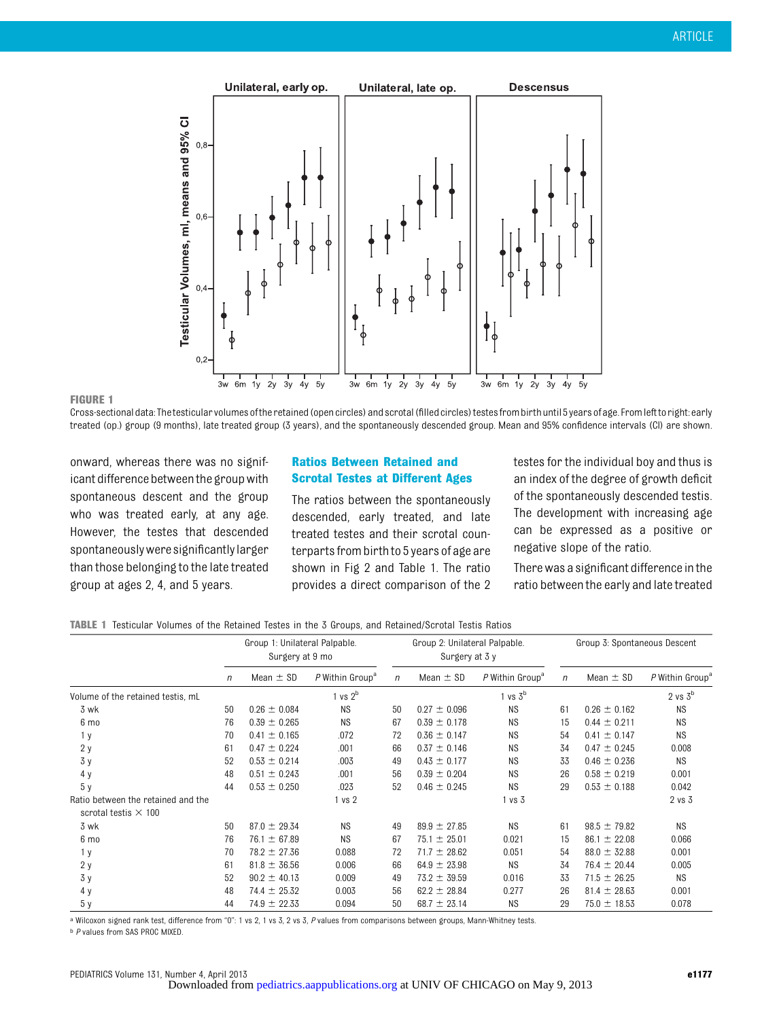

#### FIGURE 1

Cross-sectional data: The testicular volumes of the retained (open circles) and scrotal (filled circles) testes from birth until 5 years of age. From left to right: early treated (op.) group (9 months), late treated group (3 years), and the spontaneously descended group. Mean and 95% confidence intervals (CI) are shown.

onward, whereas there was no significant difference between the group with spontaneous descent and the group who was treated early, at any age. However, the testes that descended spontaneouslywere significantly larger than those belonging to the late treated group at ages 2, 4, and 5 years.

#### Ratios Between Retained and Scrotal Testes at Different Ages

The ratios between the spontaneously descended, early treated, and late treated testes and their scrotal counterparts from birthto 5 years of age are shown in Fig 2 and Table 1. The ratio provides a direct comparison of the 2 testes for the individual boy and thus is an index of the degree of growth deficit of the spontaneously descended testis. The development with increasing age can be expressed as a positive or negative slope of the ratio.

There was a significant difference inthe ratio between the early and late treated

#### TABLE 1 Testicular Volumes of the Retained Testes in the 3 Groups, and Retained/Scrotal Testis Ratios

|                                                                   | Group 1: Unilateral Palpable.<br>Surgery at 9 mo |                  |                             | Group 2: Unilateral Palpable.<br>Surgery at 3 y |                  |                             | Group 3: Spontaneous Descent |                  |                             |
|-------------------------------------------------------------------|--------------------------------------------------|------------------|-----------------------------|-------------------------------------------------|------------------|-----------------------------|------------------------------|------------------|-----------------------------|
|                                                                   | $\eta$                                           | Mean $\pm$ SD    | P Within Group <sup>a</sup> | $\eta$                                          | Mean $\pm$ SD    | P Within Group <sup>a</sup> | $\eta$                       | Mean $\pm$ SD    | P Within Group <sup>a</sup> |
| Volume of the retained testis, mL                                 |                                                  |                  | vs 2 <sup>b</sup>           |                                                 |                  | $1$ vs $3b$                 |                              |                  | $2$ vs $3b$                 |
| 3 wk                                                              | 50                                               | $0.26 \pm 0.084$ | <b>NS</b>                   | 50                                              | $0.27 \pm 0.096$ | <b>NS</b>                   | 61                           | $0.26 \pm 0.162$ | <b>NS</b>                   |
| 6 mo                                                              | 76                                               | $0.39 \pm 0.265$ | <b>NS</b>                   | 67                                              | $0.39 \pm 0.178$ | <b>NS</b>                   | 15                           | $0.44 \pm 0.211$ | <b>NS</b>                   |
| 1 <sub>y</sub>                                                    | 70                                               | $0.41 \pm 0.165$ | .072                        | 72                                              | $0.36 \pm 0.147$ | <b>NS</b>                   | 54                           | $0.41 \pm 0.147$ | <b>NS</b>                   |
| 2y                                                                | 61                                               | $0.47 \pm 0.224$ | .001                        | 66                                              | $0.37 \pm 0.146$ | <b>NS</b>                   | 34                           | $0.47 \pm 0.245$ | 0.008                       |
| 3y                                                                | 52                                               | $0.53 \pm 0.214$ | .003                        | 49                                              | $0.43 \pm 0.177$ | <b>NS</b>                   | 33                           | $0.46 \pm 0.236$ | <b>NS</b>                   |
| 4y                                                                | 48                                               | $0.51 \pm 0.243$ | .001                        | 56                                              | $0.39 \pm 0.204$ | <b>NS</b>                   | 26                           | $0.58 \pm 0.219$ | 0.001                       |
| 5 <sub>y</sub>                                                    | 44                                               | $0.53 \pm 0.250$ | .023                        | 52                                              | $0.46 \pm 0.245$ | <b>NS</b>                   | 29                           | $0.53 \pm 0.188$ | 0.042                       |
| Ratio between the retained and the<br>scrotal testis $\times$ 100 |                                                  |                  | 1 vs 2                      |                                                 |                  | 1 vs 3                      |                              |                  | $2$ vs $3$                  |
| 3 wk                                                              | 50                                               | $87.0 \pm 29.34$ | <b>NS</b>                   | 49                                              | $89.9 \pm 27.85$ | <b>NS</b>                   | 61                           | $98.5 \pm 79.82$ | <b>NS</b>                   |
| 6 mo                                                              | 76                                               | 76.1 $\pm$ 67.89 | <b>NS</b>                   | 67                                              | $75.1 \pm 25.01$ | 0.021                       | 15                           | $86.1 \pm 22.08$ | 0.066                       |
| 1 <sub>y</sub>                                                    | 70                                               | $78.2 \pm 27.36$ | 0.088                       | 72                                              | $71.7 \pm 28.62$ | 0.051                       | 54                           | $88.0 \pm 32.88$ | 0.001                       |
| 2y                                                                | 61                                               | $81.8 \pm 36.56$ | 0.006                       | 66                                              | $64.9 \pm 23.98$ | <b>NS</b>                   | 34                           | $76.4 \pm 20.44$ | 0.005                       |
| 3y                                                                | 52                                               | $90.2 \pm 40.13$ | 0.009                       | 49                                              | $73.2 \pm 39.59$ | 0.016                       | 33                           | $71.5 \pm 26.25$ | <b>NS</b>                   |
| 4 y                                                               | 48                                               | $74.4 \pm 25.32$ | 0.003                       | 56                                              | $62.2 \pm 28.84$ | 0.277                       | 26                           | $81.4 \pm 28.63$ | 0.001                       |
| 5y                                                                | 44                                               | $74.9 \pm 22.33$ | 0.094                       | 50                                              | 68.7 $\pm$ 23.14 | <b>NS</b>                   | 29                           | $75.0 \pm 18.53$ | 0.078                       |

a Wilcoxon signed rank test, difference from "0": 1 vs 2, 1 vs 3, 2 vs 3, P values from comparisons between groups, Mann-Whitney tests.

**b P values from SAS PROC MIXED.**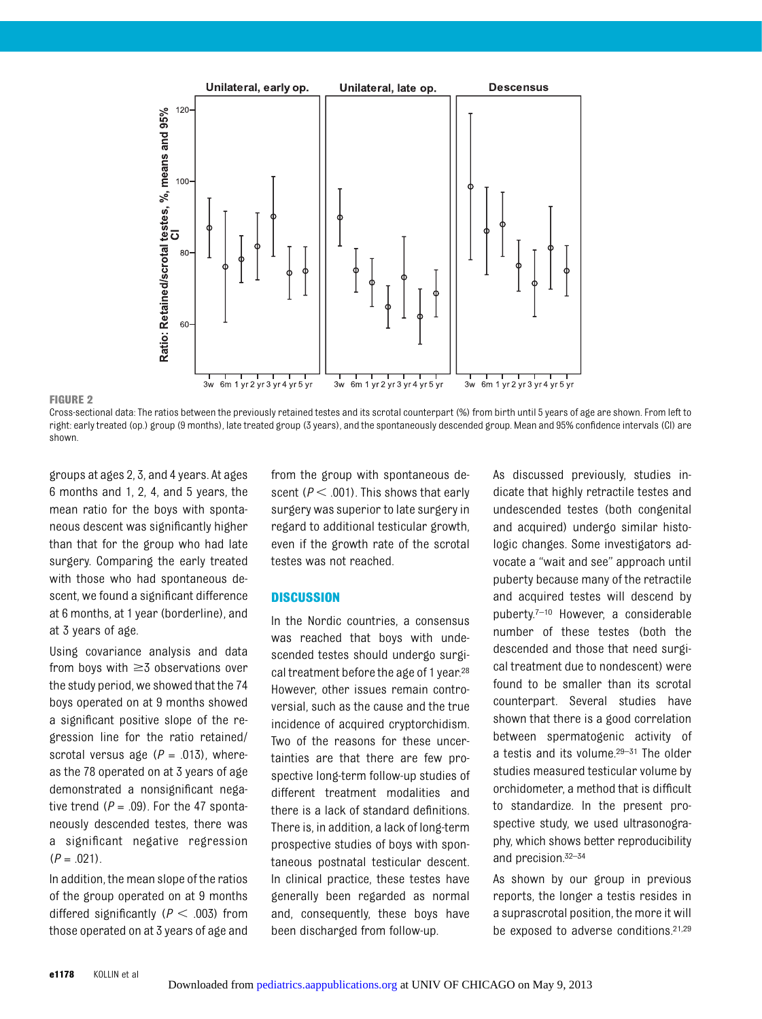

#### FIGURE 2

Cross-sectional data: The ratios between the previously retained testes and its scrotal counterpart (%) from birth until 5 years of age are shown. From left to right: early treated (op.) group (9 months), late treated group (3 years), and the spontaneously descended group. Mean and 95% confidence intervals (CI) are shown.

groups at ages 2, 3, and 4 years. At ages 6 months and 1, 2, 4, and 5 years, the mean ratio for the boys with spontaneous descent was significantly higher than that for the group who had late surgery. Comparing the early treated with those who had spontaneous descent, we found a significant difference at 6 months, at 1 year (borderline), and at 3 years of age.

Using covariance analysis and data from boys with  $\geq$  5 observations over the study period, we showed that the 74 boys operated on at 9 months showed a significant positive slope of the regression line for the ratio retained/ scrotal versus age ( $P = .013$ ), whereas the 78 operated on at 3 years of age demonstrated a nonsignificant negative trend  $(P = .09)$ . For the 47 spontaneously descended testes, there was a significant negative regression  $(P = .021)$ .

In addition, the mean slope of the ratios of the group operated on at 9 months differed significantly ( $P < .003$ ) from those operated on at 3 years of age and from the group with spontaneous descent ( $P < .001$ ). This shows that early surgery was superior to late surgery in regard to additional testicular growth, even if the growth rate of the scrotal testes was not reached.

#### **DISCUSSION**

In the Nordic countries, a consensus was reached that boys with undescended testes should undergo surgical treatment before the age of 1 year.<sup>28</sup> However, other issues remain controversial, such as the cause and the true incidence of acquired cryptorchidism. Two of the reasons for these uncertainties are that there are few prospective long-term follow-up studies of different treatment modalities and there is a lack of standard definitions. There is, in addition, a lack of long-term prospective studies of boys with spontaneous postnatal testicular descent. In clinical practice, these testes have generally been regarded as normal and, consequently, these boys have been discharged from follow-up.

As discussed previously, studies indicate that highly retractile testes and undescended testes (both congenital and acquired) undergo similar histologic changes. Some investigators advocate a "wait and see" approach until puberty because many of the retractile and acquired testes will descend by puberty.<sup>7-10</sup> However, a considerable number of these testes (both the descended and those that need surgical treatment due to nondescent) were found to be smaller than its scrotal counterpart. Several studies have shown that there is a good correlation between spermatogenic activity of a testis and its volume.29–<sup>31</sup> The older studies measured testicular volume by orchidometer, a method that is difficult to standardize. In the present prospective study, we used ultrasonography, which shows better reproducibility and precision.32–<sup>34</sup>

As shown by our group in previous reports, the longer a testis resides in a suprascrotal position, the more it will be exposed to adverse conditions.21,29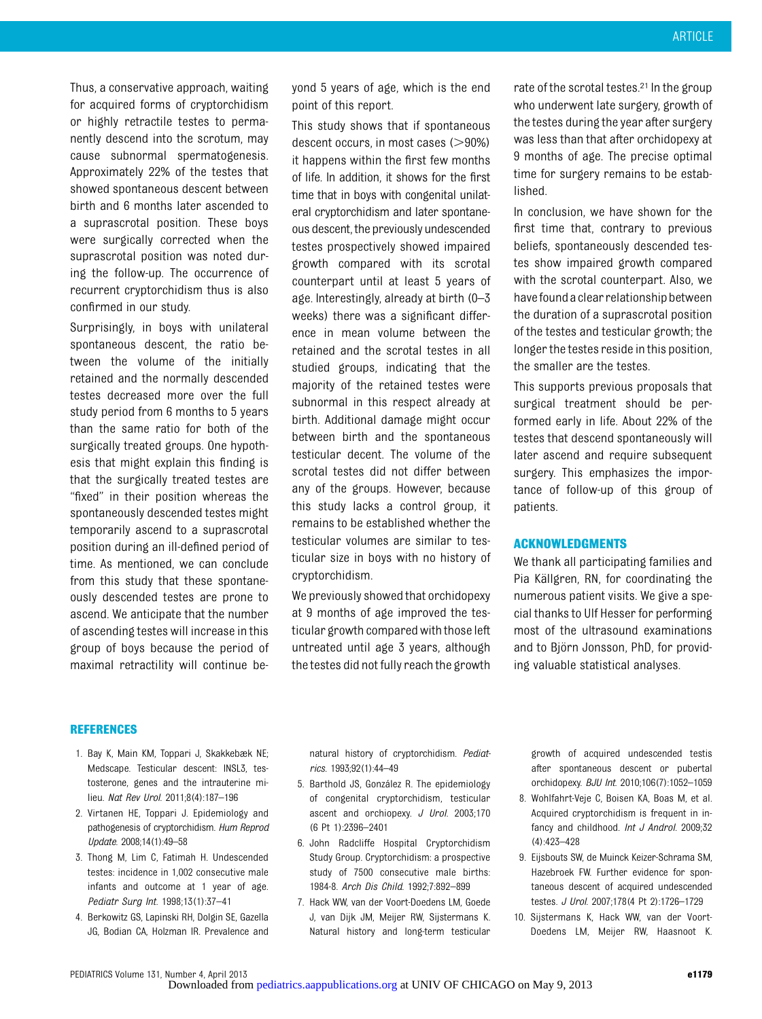Thus, a conservative approach, waiting for acquired forms of cryptorchidism or highly retractile testes to permanently descend into the scrotum, may cause subnormal spermatogenesis. Approximately 22% of the testes that showed spontaneous descent between birth and 6 months later ascended to a suprascrotal position. These boys were surgically corrected when the suprascrotal position was noted during the follow-up. The occurrence of recurrent cryptorchidism thus is also confirmed in our study.

Surprisingly, in boys with unilateral spontaneous descent, the ratio between the volume of the initially retained and the normally descended testes decreased more over the full study period from 6 months to 5 years than the same ratio for both of the surgically treated groups. One hypothesis that might explain this finding is that the surgically treated testes are "fixed" in their position whereas the spontaneously descended testes might temporarily ascend to a suprascrotal position during an ill-defined period of time. As mentioned, we can conclude from this study that these spontaneously descended testes are prone to ascend. We anticipate that the number of ascending testes will increase in this group of boys because the period of maximal retractility will continue beyond 5 years of age, which is the end point of this report.

This study shows that if spontaneous descent occurs, in most cases  $(>90%)$ it happens within the first few months of life. In addition, it shows for the first time that in boys with congenital unilateral cryptorchidism and later spontaneous descent, the previously undescended testes prospectively showed impaired growth compared with its scrotal counterpart until at least 5 years of age. Interestingly, already at birth (0–3 weeks) there was a significant difference in mean volume between the retained and the scrotal testes in all studied groups, indicating that the majority of the retained testes were subnormal in this respect already at birth. Additional damage might occur between birth and the spontaneous testicular decent. The volume of the scrotal testes did not differ between any of the groups. However, because this study lacks a control group, it remains to be established whether the testicular volumes are similar to testicular size in boys with no history of cryptorchidism.

We previously showed that orchidopexy at 9 months of age improved the testicular growth compared with those left untreated until age 3 years, although the testes did not fully reach the growth

rate of the scrotal testes.21 In the group who underwent late surgery, growth of the testes during the year after surgery was less than that after orchidopexy at 9 months of age. The precise optimal time for surgery remains to be established.

In conclusion, we have shown for the first time that, contrary to previous beliefs, spontaneously descended testes show impaired growth compared with the scrotal counterpart. Also, we have found a clear relationship between the duration of a suprascrotal position of the testes and testicular growth; the longer the testes reside in this position, the smaller are the testes.

This supports previous proposals that surgical treatment should be performed early in life. About 22% of the testes that descend spontaneously will later ascend and require subsequent surgery. This emphasizes the importance of follow-up of this group of patients.

#### ACKNOWLEDGMENTS

We thank all participating families and Pia Källgren, RN, for coordinating the numerous patient visits. We give a special thanks to Ulf Hesser for performing most of the ultrasound examinations and to Björn Jonsson, PhD, for providing valuable statistical analyses.

#### REFERENCES

- 1. Bay K, Main KM, Toppari J, Skakkebæk NE; Medscape. Testicular descent: INSL3, testosterone, genes and the intrauterine milieu. Nat Rev Urol. 2011;8(4):187–196
- 2. Virtanen HE, Toppari J. Epidemiology and pathogenesis of cryptorchidism. Hum Reprod Update. 2008;14(1):49–58
- 3. Thong M, Lim C, Fatimah H. Undescended testes: incidence in 1,002 consecutive male infants and outcome at 1 year of age. Pediatr Surg Int. 1998;13(1):37–41
- 4. Berkowitz GS, Lapinski RH, Dolgin SE, Gazella JG, Bodian CA, Holzman IR. Prevalence and

natural history of cryptorchidism. Pediatrics. 1993;92(1):44–49

- 5. Barthold JS, González R. The epidemiology of congenital cryptorchidism, testicular ascent and orchiopexy. J Urol. 2003;170 (6 Pt 1):2396–2401
- 6. John Radcliffe Hospital Cryptorchidism Study Group. Cryptorchidism: a prospective study of 7500 consecutive male births: 1984-8. Arch Dis Child. 1992;7:892–899
- 7. Hack WW, van der Voort-Doedens LM, Goede J, van Dijk JM, Meijer RW, Sijstermans K. Natural history and long-term testicular

growth of acquired undescended testis after spontaneous descent or pubertal orchidopexy. BJU Int. 2010;106(7):1052–1059

- 8. Wohlfahrt-Veje C, Boisen KA, Boas M, et al. Acquired cryptorchidism is frequent in infancy and childhood. Int J Androl. 2009;32 (4):423–428
- 9. Eijsbouts SW, de Muinck Keizer-Schrama SM, Hazebroek FW. Further evidence for spontaneous descent of acquired undescended testes. J Urol. 2007;178(4 Pt 2):1726–1729
- 10. Sijstermans K, Hack WW, van der Voort-Doedens LM, Meijer RW, Haasnoot K.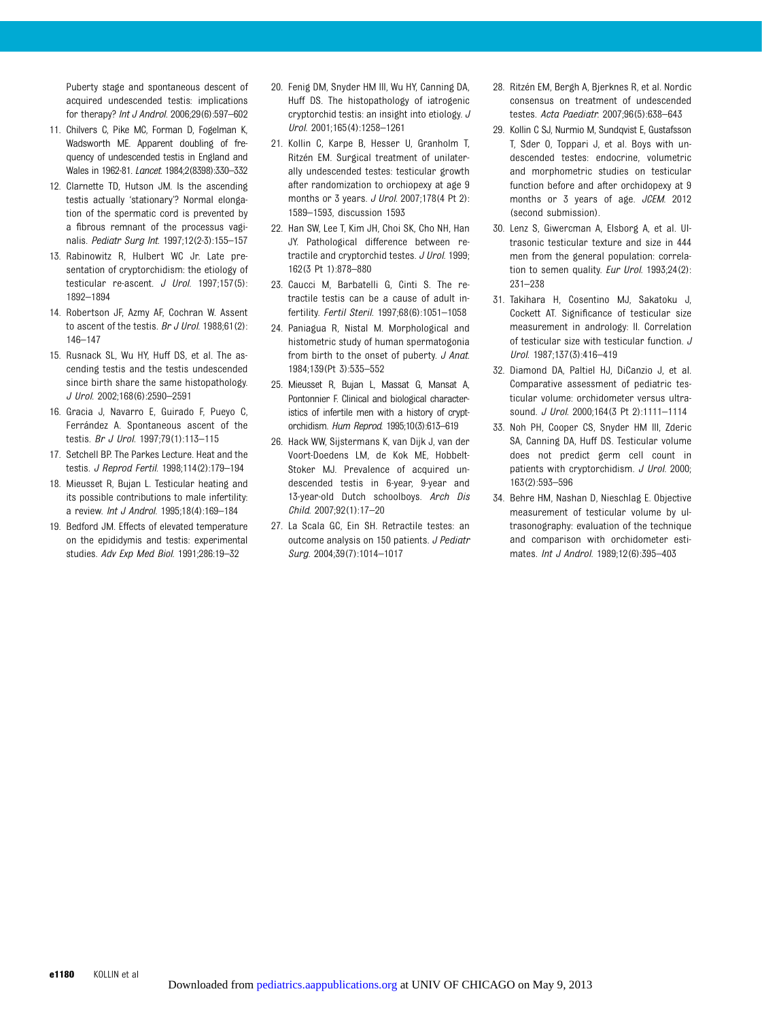Puberty stage and spontaneous descent of acquired undescended testis: implications for therapy? Int J Androl. 2006;29(6):597–602

- 11. Chilvers C, Pike MC, Forman D, Fogelman K, Wadsworth ME. Apparent doubling of frequency of undescended testis in England and Wales in 1962-81. Lancet. 1984;2(8398):330–332
- 12. Clarnette TD, Hutson JM. Is the ascending testis actually 'stationary'? Normal elongation of the spermatic cord is prevented by a fibrous remnant of the processus vaginalis. Pediatr Surg Int. 1997;12(2-3):155–157
- 13. Rabinowitz R, Hulbert WC Jr. Late presentation of cryptorchidism: the etiology of testicular re-ascent. J Urol. 1997;157(5): 1892–1894
- 14. Robertson JF, Azmy AF, Cochran W. Assent to ascent of the testis. Br J Urol. 1988;61(2): 146–147
- 15. Rusnack SL, Wu HY, Huff DS, et al. The ascending testis and the testis undescended since birth share the same histopathology. J Urol. 2002;168(6):2590–2591
- 16. Gracia J, Navarro E, Guirado F, Pueyo C, Ferrández A. Spontaneous ascent of the testis. Br J Urol. 1997;79(1):113–115
- 17. Setchell BP. The Parkes Lecture. Heat and the testis. J Reprod Fertil. 1998;114(2):179–194
- 18. Mieusset R, Bujan L. Testicular heating and its possible contributions to male infertility: a review. Int J Androl. 1995;18(4):169–184
- 19. Bedford JM. Effects of elevated temperature on the epididymis and testis: experimental studies. Adv Exp Med Biol. 1991;286:19–32
- 20. Fenig DM, Snyder HM III, Wu HY, Canning DA, Huff DS. The histopathology of iatrogenic cryptorchid testis: an insight into etiology. J Urol. 2001;165(4):1258–1261
- 21. Kollin C, Karpe B, Hesser U, Granholm T, Ritzén EM. Surgical treatment of unilaterally undescended testes: testicular growth after randomization to orchiopexy at age 9 months or 3 years. *J Urol.* 2007;178(4 Pt 2): 1589–1593, discussion 1593
- 22. Han SW, Lee T, Kim JH, Choi SK, Cho NH, Han JY. Pathological difference between retractile and cryptorchid testes. J Urol. 1999; 162(3 Pt 1):878–880
- 23. Caucci M, Barbatelli G, Cinti S. The retractile testis can be a cause of adult infertility. Fertil Steril. 1997;68(6):1051–1058
- 24. Paniagua R, Nistal M. Morphological and histometric study of human spermatogonia from birth to the onset of puberty. J Anat. 1984;139(Pt 3):535–552
- 25. Mieusset R, Bujan L, Massat G, Mansat A, Pontonnier F. Clinical and biological characteristics of infertile men with a history of cryptorchidism. Hum Reprod. 1995;10(3):613–619
- 26. Hack WW, Sijstermans K, van Dijk J, van der Voort-Doedens LM, de Kok ME, Hobbelt-Stoker MJ. Prevalence of acquired undescended testis in 6-year, 9-year and 13-year-old Dutch schoolboys. Arch Dis Child. 2007;92(1):17–20
- 27. La Scala GC, Ein SH. Retractile testes: an outcome analysis on 150 patients. J Pediatr Surg. 2004;39(7):1014–1017
- 28. Ritzén EM, Bergh A, Bjerknes R, et al. Nordic consensus on treatment of undescended testes. Acta Paediatr. 2007;96(5):638–643
- 29. Kollin C SJ, Nurmio M, Sundqvist E, Gustafsson T, Sder O, Toppari J, et al. Boys with undescended testes: endocrine, volumetric and morphometric studies on testicular function before and after orchidopexy at 9 months or 3 years of age. JCEM. 2012 (second submission).
- 30. Lenz S, Giwercman A, Elsborg A, et al. Ultrasonic testicular texture and size in 444 men from the general population: correlation to semen quality. Eur Urol. 1993;24(2): 231–238
- 31. Takihara H, Cosentino MJ, Sakatoku J, Cockett AT. Significance of testicular size measurement in andrology: II. Correlation of testicular size with testicular function. J Urol. 1987;137(3):416–419
- 32. Diamond DA, Paltiel HJ, DiCanzio J, et al. Comparative assessment of pediatric testicular volume: orchidometer versus ultrasound. J Urol. 2000;164(3 Pt 2):1111–1114
- 33. Noh PH, Cooper CS, Snyder HM III, Zderic SA, Canning DA, Huff DS. Testicular volume does not predict germ cell count in patients with cryptorchidism. J Urol. 2000; 163(2):593–596
- 34. Behre HM, Nashan D, Nieschlag E. Objective measurement of testicular volume by ultrasonography: evaluation of the technique and comparison with orchidometer estimates. Int J Androl. 1989;12(6):395–403